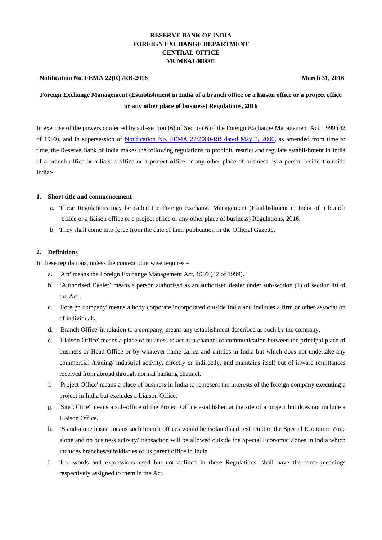# **RESERVE BANK OF INDIA FOREIGN EXCHANGE DEPARTMENT CENTRAL OFFICE MUMBAI 400001**

# **Notification No. FEMA 22(R) /RB-2016** March 31, 2016

# **Foreign Exchange Management (Establishment in India of a branch office or a liaison office or a project office or any other place of business) Regulations, 2016**

In exercise of the powers conferred by sub-section (6) of Section 6 of the Foreign Exchange Management Act, 1999 (42 of 1999), and in supersession of [Notification No. FEMA 22/2000-RB dated May 3, 2000,](https://rbi.org.in/Scripts/NotificationUser.aspx?Id=176&Mode=0) as amended from time to time, the Reserve Bank of India makes the following regulations to prohibit, restrict and regulate establishment in India of a branch office or a liaison office or a project office or any other place of business by a person resident outside India:-

#### **1. Short title and commencement**

- a. These Regulations may be called the Foreign Exchange Management (Establishment in India of a branch office or a liaison office or a project office or any other place of business) Regulations, 2016.
- b. They shall come into force from the date of their publication in the Official Gazette.

## **2. Definitions**

In these regulations, unless the context otherwise requires –

- a. 'Act' means the Foreign Exchange Management Act, 1999 (42 of 1999).
- b. 'Authorised Dealer' means a person authorised as an authorised dealer under sub-section (1) of section 10 of the Act.
- c. 'Foreign company' means a body corporate incorporated outside India and includes a firm or other association of individuals.
- d. 'Branch Office' in relation to a company, means any establishment described as such by the company.
- e. 'Liaison Office' means a place of business to act as a channel of communication between the principal place of business or Head Office or by whatever name called and entities in India but which does not undertake any commercial /trading/ industrial activity, directly or indirectly, and maintains itself out of inward remittances received from abroad through normal banking channel.
- f. 'Project Office' means a place of business in India to represent the interests of the foreign company executing a project in India but excludes a Liaison Office.
- g. 'Site Office' means a sub-office of the Project Office established at the site of a project but does not include a Liaison Office.
- h. 'Stand-alone basis' means such branch offices would be isolated and restricted to the Special Economic Zone alone and no business activity/ transaction will be allowed outside the Special Economic Zones in India which includes branches/subsidiaries of its parent office in India.
- i. The words and expressions used but not defined in these Regulations, shall have the same meanings respectively assigned to them in the Act.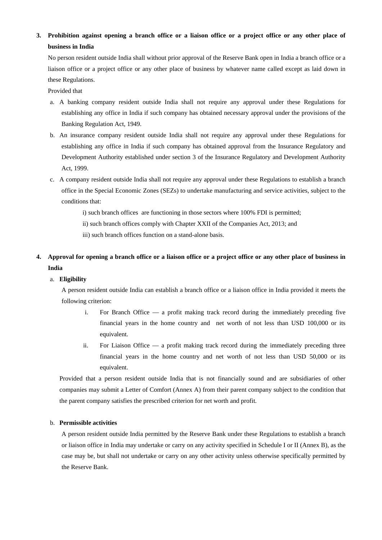# **3. Prohibition against opening a branch office or a liaison office or a project office or any other place of business in India**

No person resident outside India shall without prior approval of the Reserve Bank open in India a branch office or a liaison office or a project office or any other place of business by whatever name called except as laid down in these Regulations.

Provided that

- a. A banking company resident outside India shall not require any approval under these Regulations for establishing any office in India if such company has obtained necessary approval under the provisions of the Banking Regulation Act, 1949.
- b. An insurance company resident outside India shall not require any approval under these Regulations for establishing any office in India if such company has obtained approval from the Insurance Regulatory and Development Authority established under section 3 of the Insurance Regulatory and Development Authority Act, 1999.
- c. A company resident outside India shall not require any approval under these Regulations to establish a branch office in the Special Economic Zones (SEZs) to undertake manufacturing and service activities, subject to the conditions that:

i) such branch offices are functioning in those sectors where 100% FDI is permitted;

ii) such branch offices comply with Chapter XXII of the Companies Act, 2013; and

iii) such branch offices function on a stand-alone basis.

# **4. Approval for opening a branch office or a liaison office or a project office or any other place of business in India**

## a. **Eligibility**

A person resident outside India can establish a branch office or a liaison office in India provided it meets the following criterion:

- i. For Branch Office a profit making track record during the immediately preceding five financial years in the home country and net worth of not less than USD 100,000 or its equivalent.
- ii. For Liaison Office a profit making track record during the immediately preceding three financial years in the home country and net worth of not less than USD 50,000 or its equivalent.

Provided that a person resident outside India that is not financially sound and are subsidiaries of other companies may submit a Letter of Comfort (Annex A) from their parent company subject to the condition that the parent company satisfies the prescribed criterion for net worth and profit.

## b. **Permissible activities**

A person resident outside India permitted by the Reserve Bank under these Regulations to establish a branch or liaison office in India may undertake or carry on any activity specified in Schedule I or II (Annex B), as the case may be, but shall not undertake or carry on any other activity unless otherwise specifically permitted by the Reserve Bank.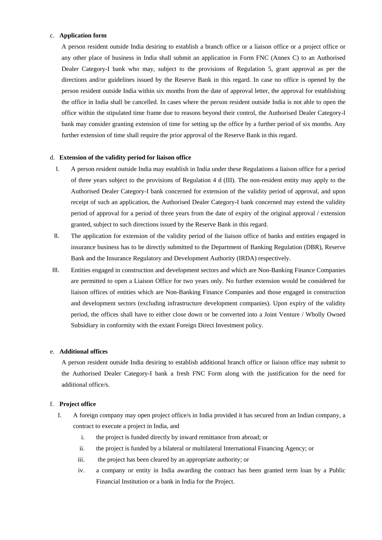#### c. **Application form**

A person resident outside India desiring to establish a branch office or a liaison office or a project office or any other place of business in India shall submit an application in Form FNC (Annex C) to an Authorised Dealer Category-I bank who may, subject to the provisions of Regulation 5, grant approval as per the directions and/or guidelines issued by the Reserve Bank in this regard. In case no office is opened by the person resident outside India within six months from the date of approval letter, the approval for establishing the office in India shall be cancelled. In cases where the person resident outside India is not able to open the office within the stipulated time frame due to reasons beyond their control, the Authorised Dealer Category-I bank may consider granting extension of time for setting up the office by a further period of six months. Any further extension of time shall require the prior approval of the Reserve Bank in this regard.

#### d. **Extension of the validity period for liaison office**

- I. A person resident outside India may establish in India under these Regulations a liaison office for a period of three years subject to the provisions of Regulation 4 d (III). The non-resident entity may apply to the Authorised Dealer Category-I bank concerned for extension of the validity period of approval, and upon receipt of such an application, the Authorised Dealer Category-I bank concerned may extend the validity period of approval for a period of three years from the date of expiry of the original approval / extension granted, subject to such directions issued by the Reserve Bank in this regard.
- II. The application for extension of the validity period of the liaison office of banks and entities engaged in insurance business has to be directly submitted to the Department of Banking Regulation (DBR), Reserve Bank and the Insurance Regulatory and Development Authority (IRDA) respectively.
- III. Entities engaged in construction and development sectors and which are Non-Banking Finance Companies are permitted to open a Liaison Office for two years only. No further extension would be considered for liaison offices of entities which are Non-Banking Finance Companies and those engaged in construction and development sectors (excluding infrastructure development companies). Upon expiry of the validity period, the offices shall have to either close down or be converted into a Joint Venture / Wholly Owned Subsidiary in conformity with the extant Foreign Direct Investment policy.

#### e. **Additional offices**

A person resident outside India desiring to establish additional branch office or liaison office may submit to the Authorised Dealer Category-I bank a fresh FNC Form along with the justification for the need for additional office/s.

## f. **Project office**

- I. A foreign company may open project office/s in India provided it has secured from an Indian company, a contract to execute a project in India, and
	- i. the project is funded directly by inward remittance from abroad; or
	- ii. the project is funded by a bilateral or multilateral International Financing Agency; or
	- iii. the project has been cleared by an appropriate authority; or
	- iv. a company or entity in India awarding the contract has been granted term loan by a Public Financial Institution or a bank in India for the Project.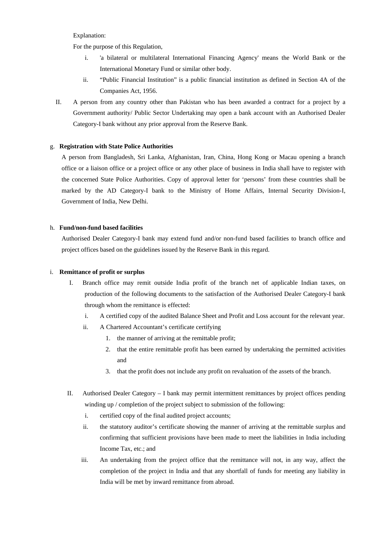#### Explanation:

For the purpose of this Regulation,

- i. 'a bilateral or multilateral International Financing Agency' means the World Bank or the International Monetary Fund or similar other body.
- ii. "Public Financial Institution" is a public financial institution as defined in Section 4A of the Companies Act, 1956.
- II. A person from any country other than Pakistan who has been awarded a contract for a project by a Government authority/ Public Sector Undertaking may open a bank account with an Authorised Dealer Category-I bank without any prior approval from the Reserve Bank.

#### g. **Registration with State Police Authorities**

A person from Bangladesh, Sri Lanka, Afghanistan, Iran, China, Hong Kong or Macau opening a branch office or a liaison office or a project office or any other place of business in India shall have to register with the concerned State Police Authorities. Copy of approval letter for 'persons' from these countries shall be marked by the AD Category-I bank to the Ministry of Home Affairs, Internal Security Division-I, Government of India, New Delhi.

## h. **Fund/non-fund based facilities**

Authorised Dealer Category-I bank may extend fund and/or non-fund based facilities to branch office and project offices based on the guidelines issued by the Reserve Bank in this regard.

### i. **Remittance of profit or surplus**

- I. Branch office may remit outside India profit of the branch net of applicable Indian taxes, on production of the following documents to the satisfaction of the Authorised Dealer Category-I bank through whom the remittance is effected:
	- i. A certified copy of the audited Balance Sheet and Profit and Loss account for the relevant year.
	- ii. A Chartered Accountant's certificate certifying
		- 1. the manner of arriving at the remittable profit;
		- 2. that the entire remittable profit has been earned by undertaking the permitted activities and
		- 3. that the profit does not include any profit on revaluation of the assets of the branch.
- II. Authorised Dealer Category I bank may permit intermittent remittances by project offices pending winding up / completion of the project subject to submission of the following:
	- i. certified copy of the final audited project accounts;
	- ii. the statutory auditor's certificate showing the manner of arriving at the remittable surplus and confirming that sufficient provisions have been made to meet the liabilities in India including Income Tax, etc.; and
	- iii. An undertaking from the project office that the remittance will not, in any way, affect the completion of the project in India and that any shortfall of funds for meeting any liability in India will be met by inward remittance from abroad.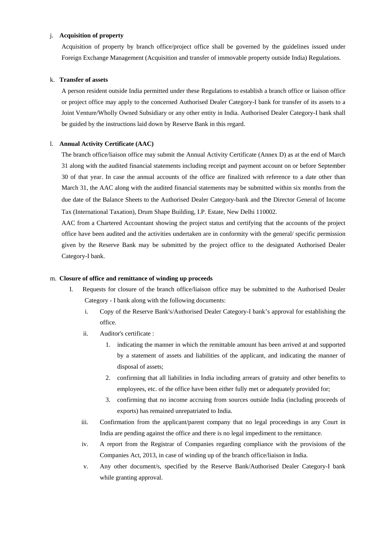#### j. **Acquisition of property**

Acquisition of property by branch office/project office shall be governed by the guidelines issued under Foreign Exchange Management (Acquisition and transfer of immovable property outside India) Regulations.

### k. **Transfer of assets**

A person resident outside India permitted under these Regulations to establish a branch office or liaison office or project office may apply to the concerned Authorised Dealer Category-I bank for transfer of its assets to a Joint Venture/Wholly Owned Subsidiary or any other entity in India. Authorised Dealer Category-I bank shall be guided by the instructions laid down by Reserve Bank in this regard.

### l. **Annual Activity Certificate (AAC)**

The branch office/liaison office may submit the Annual Activity Certificate (Annex D) as at the end of March 31 along with the audited financial statements including receipt and payment account on or before September 30 of that year. In case the annual accounts of the office are finalized with reference to a date other than March 31, the AAC along with the audited financial statements may be submitted within six months from the due date of the Balance Sheets to the Authorised Dealer Category-bank and the Director General of Income Tax (International Taxation), Drum Shape Building, I.P. Estate, New Delhi 110002.

AAC from a Chartered Accountant showing the project status and certifying that the accounts of the project office have been audited and the activities undertaken are in conformity with the general/ specific permission given by the Reserve Bank may be submitted by the project office to the designated Authorised Dealer Category-I bank.

#### m. **Closure of office and remittance of winding up proceeds**

- I. Requests for closure of the branch office/liaison office may be submitted to the Authorised Dealer Category - I bank along with the following documents:
	- i. Copy of the Reserve Bank's/Authorised Dealer Category-I bank's approval for establishing the office.
	- ii. Auditor's certificate :
		- 1. indicating the manner in which the remittable amount has been arrived at and supported by a statement of assets and liabilities of the applicant, and indicating the manner of disposal of assets;
		- 2. confirming that all liabilities in India including arrears of gratuity and other benefits to employees, etc. of the office have been either fully met or adequately provided for;
		- 3. confirming that no income accruing from sources outside India (including proceeds of exports) has remained unrepatriated to India.
	- iii. Confirmation from the applicant/parent company that no legal proceedings in any Court in India are pending against the office and there is no legal impediment to the remittance.
	- iv. A report from the Registrar of Companies regarding compliance with the provisions of the Companies Act, 2013, in case of winding up of the branch office/liaison in India.
	- v. Any other document/s, specified by the Reserve Bank/Authorised Dealer Category-I bank while granting approval.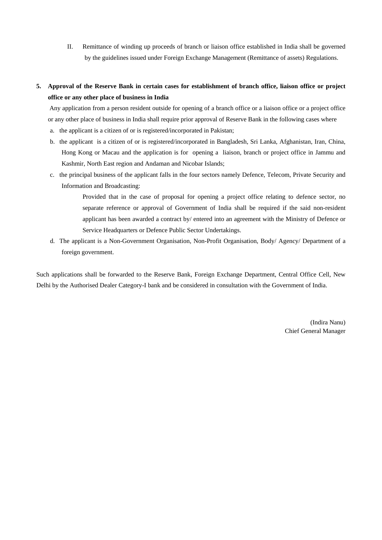II. Remittance of winding up proceeds of branch or liaison office established in India shall be governed by the guidelines issued under Foreign Exchange Management (Remittance of assets) Regulations.

# **5. Approval of the Reserve Bank in certain cases for establishment of branch office, liaison office or project office or any other place of business in India**

Any application from a person resident outside for opening of a branch office or a liaison office or a project office or any other place of business in India shall require prior approval of Reserve Bank in the following cases where

- a. the applicant is a citizen of or is registered/incorporated in Pakistan;
- b. the applicant is a citizen of or is registered/incorporated in Bangladesh, Sri Lanka, Afghanistan, Iran, China, Hong Kong or Macau and the application is for opening a liaison, branch or project office in Jammu and Kashmir, North East region and Andaman and Nicobar Islands;
- c. the principal business of the applicant falls in the four sectors namely Defence, Telecom, Private Security and Information and Broadcasting:

Provided that in the case of proposal for opening a project office relating to defence sector, no separate reference or approval of Government of India shall be required if the said non-resident applicant has been awarded a contract by/ entered into an agreement with the Ministry of Defence or Service Headquarters or Defence Public Sector Undertakings.

d. The applicant is a Non-Government Organisation, Non-Profit Organisation, Body/ Agency/ Department of a foreign government.

Such applications shall be forwarded to the Reserve Bank, Foreign Exchange Department, Central Office Cell, New Delhi by the Authorised Dealer Category-I bank and be considered in consultation with the Government of India.

> (Indira Nanu) Chief General Manager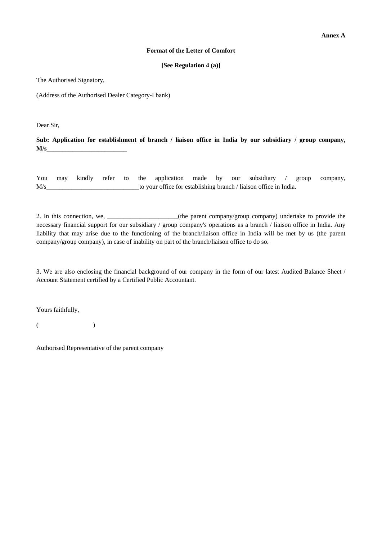#### **Format of the Letter of Comfort**

## **[See Regulation 4 (a)]**

The Authorised Signatory,

(Address of the Authorised Dealer Category-I bank)

Dear Sir,

**Sub: Application for establishment of branch / liaison office in India by our subsidiary / group company, M/s\_\_\_\_\_\_\_\_\_\_\_\_\_\_\_\_\_\_\_\_\_\_\_\_\_**

You may kindly refer to the application made by our subsidiary / group company, M/s\_\_\_\_\_\_\_\_\_\_\_\_\_\_\_\_\_\_\_\_\_\_\_\_\_\_\_\_\_to your office for establishing branch / liaison office in India.

2. In this connection, we, \_\_\_\_\_\_\_\_\_\_\_\_\_\_\_\_\_\_\_(the parent company/group company) undertake to provide the necessary financial support for our subsidiary / group company's operations as a branch / liaison office in India. Any liability that may arise due to the functioning of the branch/liaison office in India will be met by us (the parent company/group company), in case of inability on part of the branch/liaison office to do so.

3. We are also enclosing the financial background of our company in the form of our latest Audited Balance Sheet / Account Statement certified by a Certified Public Accountant.

Yours faithfully,

 $($  )

Authorised Representative of the parent company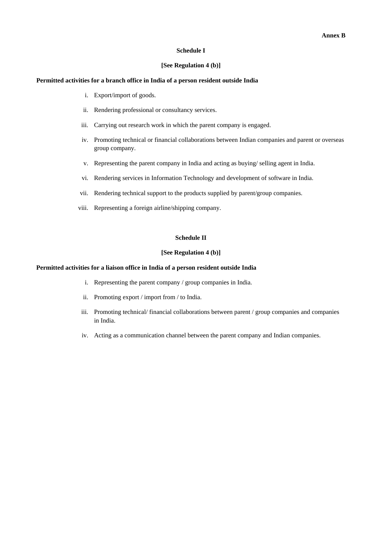#### **Schedule I**

## **[See Regulation 4 (b)]**

#### **Permitted activities for a branch office in India of a person resident outside India**

- i. Export/import of goods.
- ii. Rendering professional or consultancy services.
- iii. Carrying out research work in which the parent company is engaged.
- iv. Promoting technical or financial collaborations between Indian companies and parent or overseas group company.
- v. Representing the parent company in India and acting as buying/ selling agent in India.
- vi. Rendering services in Information Technology and development of software in India.
- vii. Rendering technical support to the products supplied by parent/group companies.
- viii. Representing a foreign airline/shipping company.

## **Schedule II**

#### **[See Regulation 4 (b)]**

### **Permitted activities for a liaison office in India of a person resident outside India**

- i. Representing the parent company / group companies in India.
- ii. Promoting export / import from / to India.
- iii. Promoting technical/ financial collaborations between parent / group companies and companies in India.
- iv. Acting as a communication channel between the parent company and Indian companies.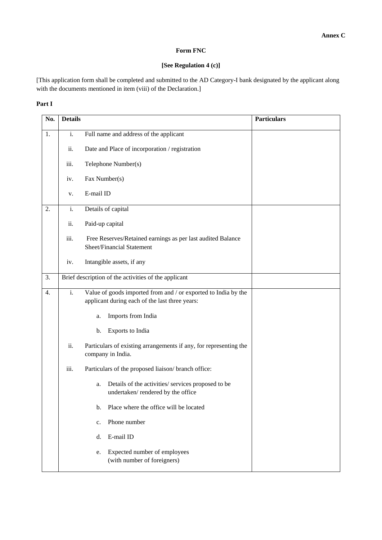## **Form FNC**

# **[See Regulation 4 (c)]**

[This application form shall be completed and submitted to the AD Category-I bank designated by the applicant along with the documents mentioned in item (viii) of the Declaration.]

# **Part I**

| No. | <b>Details</b>   |                                                                                                                  | <b>Particulars</b> |  |  |
|-----|------------------|------------------------------------------------------------------------------------------------------------------|--------------------|--|--|
| 1.  | i.               | Full name and address of the applicant                                                                           |                    |  |  |
|     | ii.              | Date and Place of incorporation / registration                                                                   |                    |  |  |
|     | iii.             | Telephone Number(s)                                                                                              |                    |  |  |
|     | iv.              | Fax Number(s)                                                                                                    |                    |  |  |
|     | v.               | E-mail ID                                                                                                        |                    |  |  |
| 2.  | $\mathbf{i}$ .   | Details of capital                                                                                               |                    |  |  |
|     | ii.              | Paid-up capital                                                                                                  |                    |  |  |
|     | iii.             | Free Reserves/Retained earnings as per last audited Balance<br><b>Sheet/Financial Statement</b>                  |                    |  |  |
|     | iv.              | Intangible assets, if any                                                                                        |                    |  |  |
| 3.  |                  | Brief description of the activities of the applicant                                                             |                    |  |  |
| 4.  | $\overline{i}$ . | Value of goods imported from and / or exported to India by the<br>applicant during each of the last three years: |                    |  |  |
|     |                  | Imports from India<br>a.                                                                                         |                    |  |  |
|     |                  | Exports to India<br>b.                                                                                           |                    |  |  |
|     | ii.              | Particulars of existing arrangements if any, for representing the<br>company in India.                           |                    |  |  |
|     | iii.             | Particulars of the proposed liaison/ branch office:                                                              |                    |  |  |
|     |                  | Details of the activities/ services proposed to be<br>a.<br>undertaken/rendered by the office                    |                    |  |  |
|     |                  | Place where the office will be located<br>b.                                                                     |                    |  |  |
|     |                  | Phone number<br>c.                                                                                               |                    |  |  |
|     |                  | E-mail ID<br>d.                                                                                                  |                    |  |  |
|     |                  | Expected number of employees<br>e.<br>(with number of foreigners)                                                |                    |  |  |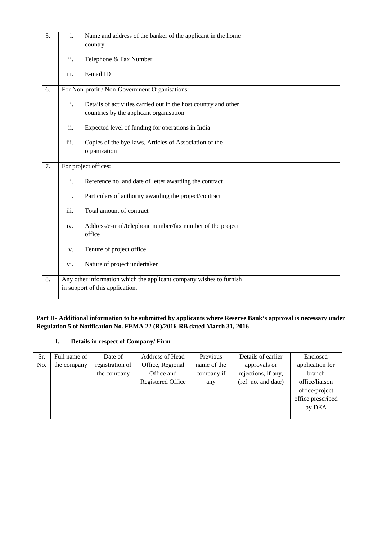| $\overline{5}$ . | $\mathbf{i}$ .                                                                                         | Name and address of the banker of the applicant in the home<br>country                                     |  |  |  |  |
|------------------|--------------------------------------------------------------------------------------------------------|------------------------------------------------------------------------------------------------------------|--|--|--|--|
|                  | ii.                                                                                                    | Telephone & Fax Number                                                                                     |  |  |  |  |
|                  | iii.                                                                                                   | E-mail ID                                                                                                  |  |  |  |  |
| 6.               |                                                                                                        | For Non-profit / Non-Government Organisations:                                                             |  |  |  |  |
|                  | i.                                                                                                     | Details of activities carried out in the host country and other<br>countries by the applicant organisation |  |  |  |  |
|                  | ii.                                                                                                    | Expected level of funding for operations in India                                                          |  |  |  |  |
|                  | iii.                                                                                                   | Copies of the bye-laws, Articles of Association of the<br>organization                                     |  |  |  |  |
| $\overline{7}$ . |                                                                                                        | For project offices:                                                                                       |  |  |  |  |
|                  | $\mathbf{i}$ .                                                                                         | Reference no. and date of letter awarding the contract                                                     |  |  |  |  |
|                  | ii.                                                                                                    | Particulars of authority awarding the project/contract                                                     |  |  |  |  |
|                  | iii.                                                                                                   | Total amount of contract                                                                                   |  |  |  |  |
|                  | iv.                                                                                                    | Address/e-mail/telephone number/fax number of the project<br>office                                        |  |  |  |  |
|                  | v.                                                                                                     | Tenure of project office                                                                                   |  |  |  |  |
|                  | vi.                                                                                                    | Nature of project undertaken                                                                               |  |  |  |  |
| 8.               | Any other information which the applicant company wishes to furnish<br>in support of this application. |                                                                                                            |  |  |  |  |

# **Part II- Additional information to be submitted by applicants where Reserve Bank's approval is necessary under Regulation 5 of Notification No. FEMA 22 (R)/2016-RB dated March 31, 2016**

# **I. Details in respect of Company/ Firm**

| Sr. | Full name of | Date of         | Address of Head   | Previous    | Details of earlier  | Enclosed          |
|-----|--------------|-----------------|-------------------|-------------|---------------------|-------------------|
| No. | the company  | registration of | Office, Regional  | name of the | approvals or        | application for   |
|     |              | the company     | Office and        | company if  | rejections, if any, | branch            |
|     |              |                 | Registered Office | any         | (ref. no. and date) | office/liaison    |
|     |              |                 |                   |             |                     | office/project    |
|     |              |                 |                   |             |                     | office prescribed |
|     |              |                 |                   |             |                     | by DEA            |
|     |              |                 |                   |             |                     |                   |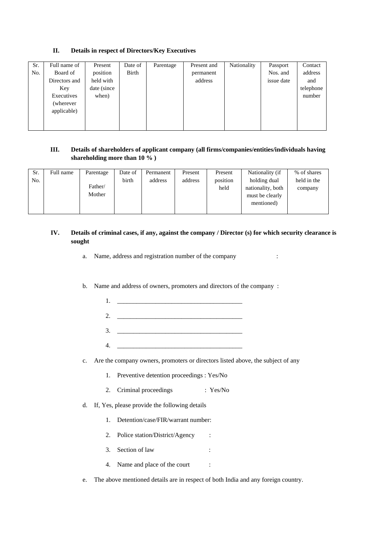## **II. Details in respect of Directors/Key Executives**

| Sr. | Full name of  | Present      | Date of | Parentage | Present and | Nationality | Passport   | Contact   |
|-----|---------------|--------------|---------|-----------|-------------|-------------|------------|-----------|
| No. | Board of      | position     | Birth   |           | permanent   |             | Nos. and   | address   |
|     | Directors and | held with    |         |           | address     |             | issue date | and       |
|     | Key           | date (since) |         |           |             |             |            | telephone |
|     | Executives    | when)        |         |           |             |             |            | number    |
|     | (wherever     |              |         |           |             |             |            |           |
|     | applicable)   |              |         |           |             |             |            |           |
|     |               |              |         |           |             |             |            |           |
|     |               |              |         |           |             |             |            |           |

# **III. Details of shareholders of applicant company (all firms/companies/entities/individuals having shareholding more than 10 % )**

| Sr. | Full name | Parentage | Date of | Permanent | Present | Present  | Nationality (if   | % of shares |
|-----|-----------|-----------|---------|-----------|---------|----------|-------------------|-------------|
| No. |           |           | birth   | address   | address | position | holding dual      | held in the |
|     |           | Father/   |         |           |         | held     | nationality, both | company     |
|     |           | Mother    |         |           |         |          | must be clearly   |             |
|     |           |           |         |           |         |          | mentioned)        |             |
|     |           |           |         |           |         |          |                   |             |

## **IV. Details of criminal cases, if any, against the company / Director (s) for which security clearance is sought**

- a. Name, address and registration number of the company :
- b. Name and address of owners, promoters and directors of the company :
	- 1. \_\_\_\_\_\_\_\_\_\_\_\_\_\_\_\_\_\_\_\_\_\_\_\_\_\_\_\_\_\_\_\_\_\_\_\_\_\_\_ 2. \_\_\_\_\_\_\_\_\_\_\_\_\_\_\_\_\_\_\_\_\_\_\_\_\_\_\_\_\_\_\_\_\_\_\_\_\_\_\_  $3.$  $4.$
- c. Are the company owners, promoters or directors listed above, the subject of any
	- 1. Preventive detention proceedings : Yes/No
	- 2. Criminal proceedings : Yes/No
- d. If, Yes, please provide the following details
	- 1. Detention/case/FIR/warrant number:
	- 2. Police station/District/Agency :
	- 3. Section of law :
	- 4. Name and place of the court :
- e. The above mentioned details are in respect of both India and any foreign country.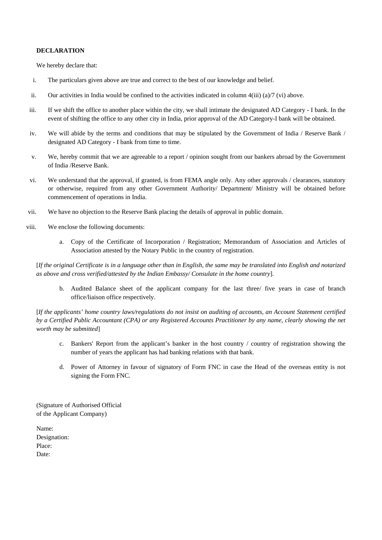## **DECLARATION**

We hereby declare that:

- i. The particulars given above are true and correct to the best of our knowledge and belief.
- ii. Our activities in India would be confined to the activities indicated in column  $4(iii)$  (a)/7 (vi) above.
- iii. If we shift the office to another place within the city, we shall intimate the designated AD Category I bank. In the event of shifting the office to any other city in India, prior approval of the AD Category-I bank will be obtained.
- iv. We will abide by the terms and conditions that may be stipulated by the Government of India / Reserve Bank / designated AD Category - I bank from time to time.
- v. We, hereby commit that we are agreeable to a report / opinion sought from our bankers abroad by the Government of India /Reserve Bank.
- vi. We understand that the approval, if granted, is from FEMA angle only. Any other approvals / clearances, statutory or otherwise, required from any other Government Authority/ Department/ Ministry will be obtained before commencement of operations in India.
- vii. We have no objection to the Reserve Bank placing the details of approval in public domain.
- viii. We enclose the following documents:
	- a. Copy of the Certificate of Incorporation / Registration; Memorandum of Association and Articles of Association attested by the Notary Public in the country of registration.

[*If the original Certificate is in a language other than in English, the same may be translated into English and notarized as above and cross verified/attested by the Indian Embassy/ Consulate in the home country*].

b. Audited Balance sheet of the applicant company for the last three/ five years in case of branch office/liaison office respectively.

[*If the applicants' home country laws/regulations do not insist on auditing of accounts, an Account Statement certified by a Certified Public Accountant (CPA) or any Registered Accounts Practitioner by any name, clearly showing the net worth may be submitted*]

- c. Bankers' Report from the applicant's banker in the host country / country of registration showing the number of years the applicant has had banking relations with that bank.
- d. Power of Attorney in favour of signatory of Form FNC in case the Head of the overseas entity is not signing the Form FNC.

(Signature of Authorised Official of the Applicant Company)

Name: Designation: Place: Date: